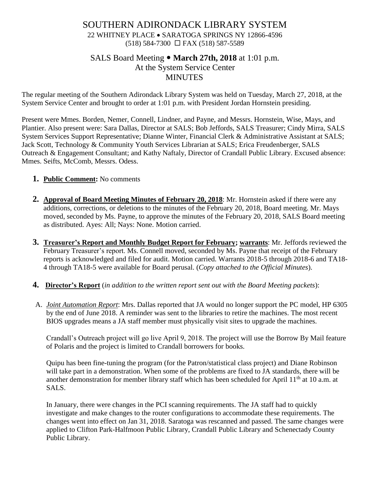# SOUTHERN ADIRONDACK LIBRARY SYSTEM 22 WHITNEY PLACE • SARATOGA SPRINGS NY 12866-4596 (518) 584-7300 FAX (518) 587-5589

# SALS Board Meeting **March 27th, 2018** at 1:01 p.m. At the System Service Center MINUTES

The regular meeting of the Southern Adirondack Library System was held on Tuesday, March 27, 2018, at the System Service Center and brought to order at 1:01 p.m. with President Jordan Hornstein presiding.

Present were Mmes. Borden, Nemer, Connell, Lindner, and Payne, and Messrs. Hornstein, Wise, Mays, and Plantier. Also present were: Sara Dallas, Director at SALS; Bob Jeffords, SALS Treasurer; Cindy Mirra, SALS System Services Support Representative; Dianne Winter, Financial Clerk & Administrative Assistant at SALS; Jack Scott, Technology & Community Youth Services Librarian at SALS; Erica Freudenberger, SALS Outreach & Engagement Consultant; and Kathy Naftaly, Director of Crandall Public Library. Excused absence: Mmes. Seifts, McComb, Messrs. Odess.

### **1. Public Comment:** No comments

- **2. Approval of Board Meeting Minutes of February 20, 2018**: Mr. Hornstein asked if there were any additions, corrections, or deletions to the minutes of the February 20, 2018, Board meeting. Mr. Mays moved, seconded by Ms. Payne, to approve the minutes of the February 20, 2018, SALS Board meeting as distributed. Ayes: All; Nays: None. Motion carried.
- **3. Treasurer's Report and Monthly Budget Report for February; warrants**: Mr. Jeffords reviewed the February Treasurer's report. Ms. Connell moved, seconded by Ms. Payne that receipt of the February reports is acknowledged and filed for audit. Motion carried. Warrants 2018-5 through 2018-6 and TA18- 4 through TA18-5 were available for Board perusal. (*Copy attached to the Official Minutes*).
- **4. Director's Report** (*in addition to the written report sent out with the Board Meeting packets*):
- A. *Joint Automation Report*: Mrs. Dallas reported that JA would no longer support the PC model, HP 6305 by the end of June 2018. A reminder was sent to the libraries to retire the machines. The most recent BIOS upgrades means a JA staff member must physically visit sites to upgrade the machines.

Crandall's Outreach project will go live April 9, 2018. The project will use the Borrow By Mail feature of Polaris and the project is limited to Crandall borrowers for books.

Quipu has been fine-tuning the program (for the Patron/statistical class project) and Diane Robinson will take part in a demonstration. When some of the problems are fixed to JA standards, there will be another demonstration for member library staff which has been scheduled for April 11<sup>th</sup> at 10 a.m. at SALS.

In January, there were changes in the PCI scanning requirements. The JA staff had to quickly investigate and make changes to the router configurations to accommodate these requirements. The changes went into effect on Jan 31, 2018. Saratoga was rescanned and passed. The same changes were applied to Clifton Park-Halfmoon Public Library, Crandall Public Library and Schenectady County Public Library.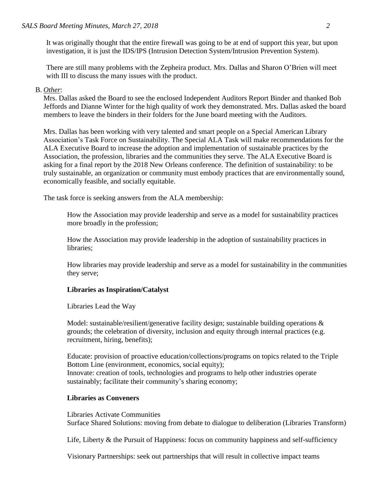It was originally thought that the entire firewall was going to be at end of support this year, but upon investigation, it is just the IDS/IPS (Intrusion Detection System/Intrusion Prevention System).

There are still many problems with the Zepheira product. Mrs. Dallas and Sharon O'Brien will meet with III to discuss the many issues with the product.

#### B. *Other*:

Mrs. Dallas asked the Board to see the enclosed Independent Auditors Report Binder and thanked Bob Jeffords and Dianne Winter for the high quality of work they demonstrated. Mrs. Dallas asked the board members to leave the binders in their folders for the June board meeting with the Auditors.

Mrs. Dallas has been working with very talented and smart people on a Special American Library Association's Task Force on Sustainability. The Special ALA Task will make recommendations for the ALA Executive Board to increase the adoption and implementation of sustainable practices by the Association, the profession, libraries and the communities they serve. The ALA Executive Board is asking for a final report by the 2018 New Orleans conference. The definition of sustainability: to be truly sustainable, an organization or community must embody practices that are environmentally sound, economically feasible, and socially equitable.

The task force is seeking answers from the ALA membership:

How the Association may provide leadership and serve as a model for sustainability practices more broadly in the profession;

How the Association may provide leadership in the adoption of sustainability practices in libraries;

How libraries may provide leadership and serve as a model for sustainability in the communities they serve;

#### **Libraries as Inspiration/Catalyst**

Libraries Lead the Way

Model: sustainable/resilient/generative facility design; sustainable building operations  $\&$ grounds; the celebration of diversity, inclusion and equity through internal practices (e.g. recruitment, hiring, benefits);

Educate: provision of proactive education/collections/programs on topics related to the Triple Bottom Line (environment, economics, social equity); Innovate: creation of tools, technologies and programs to help other industries operate sustainably; facilitate their community's sharing economy;

#### **Libraries as Conveners**

Libraries Activate Communities Surface Shared Solutions: moving from debate to dialogue to deliberation (Libraries Transform)

Life, Liberty & the Pursuit of Happiness: focus on community happiness and self-sufficiency

Visionary Partnerships: seek out partnerships that will result in collective impact teams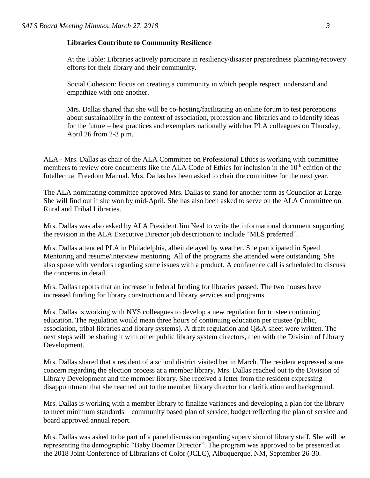#### **Libraries Contribute to Community Resilience**

At the Table: Libraries actively participate in resiliency/disaster preparedness planning/recovery efforts for their library and their community.

Social Cohesion: Focus on creating a community in which people respect, understand and empathize with one another.

Mrs. Dallas shared that she will be co-hosting/facilitating an online forum to test perceptions about sustainability in the context of association, profession and libraries and to identify ideas for the future – best practices and exemplars nationally with her PLA colleagues on Thursday, April 26 from 2-3 p.m.

ALA - Mrs. Dallas as chair of the ALA Committee on Professional Ethics is working with committee members to review core documents like the ALA Code of Ethics for inclusion in the 10<sup>th</sup> edition of the Intellectual Freedom Manual. Mrs. Dallas has been asked to chair the committee for the next year.

The ALA nominating committee approved Mrs. Dallas to stand for another term as Councilor at Large. She will find out if she won by mid-April. She has also been asked to serve on the ALA Committee on Rural and Tribal Libraries.

Mrs. Dallas was also asked by ALA President Jim Neal to write the informational document supporting the revision in the ALA Executive Director job description to include "MLS preferred".

Mrs. Dallas attended PLA in Philadelphia, albeit delayed by weather. She participated in Speed Mentoring and resume/interview mentoring. All of the programs she attended were outstanding. She also spoke with vendors regarding some issues with a product. A conference call is scheduled to discuss the concerns in detail.

Mrs. Dallas reports that an increase in federal funding for libraries passed. The two houses have increased funding for library construction and library services and programs.

Mrs. Dallas is working with NYS colleagues to develop a new regulation for trustee continuing education. The regulation would mean three hours of continuing education per trustee (public, association, tribal libraries and library systems). A draft regulation and Q&A sheet were written. The next steps will be sharing it with other public library system directors, then with the Division of Library Development.

Mrs. Dallas shared that a resident of a school district visited her in March. The resident expressed some concern regarding the election process at a member library. Mrs. Dallas reached out to the Division of Library Development and the member library. She received a letter from the resident expressing disappointment that she reached out to the member library director for clarification and background.

Mrs. Dallas is working with a member library to finalize variances and developing a plan for the library to meet minimum standards – community based plan of service, budget reflecting the plan of service and board approved annual report.

Mrs. Dallas was asked to be part of a panel discussion regarding supervision of library staff. She will be representing the demographic "Baby Boomer Director". The program was approved to be presented at the 2018 Joint Conference of Librarians of Color (JCLC), Albuquerque, NM, September 26-30.